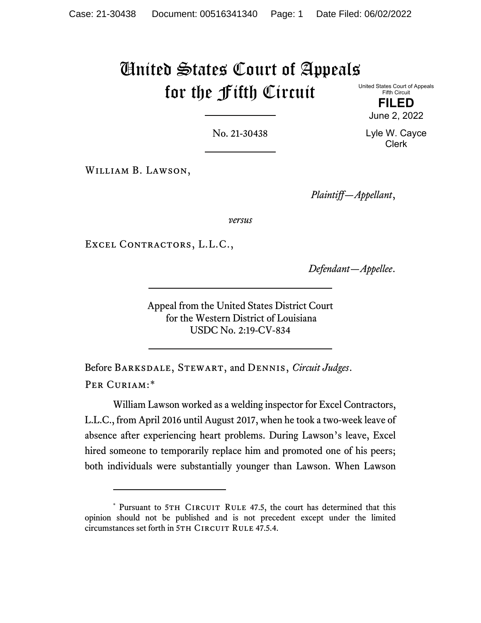# United States Court of Appeals for the Fifth Circuit

United States Court of Appeals Fifth Circuit

> **FILED** June 2, 2022

No. 21-30438

William B. Lawson,

*Plaintiff—Appellant*,

*versus*

EXCEL CONTRACTORS, L.L.C.,

*Defendant—Appellee*.

Appeal from the United States District Court for the Western District of Louisiana USDC No. 2:19-CV-834

Before Barksdale, Stewart, and Dennis, *Circuit Judges*. PER CURIAM:[\\*](#page-0-0)

William Lawson worked as a welding inspector for Excel Contractors, L.L.C., from April 2016 until August 2017, when he took a two-week leave of absence after experiencing heart problems. During Lawson's leave, Excel hired someone to temporarily replace him and promoted one of his peers; both individuals were substantially younger than Lawson. When Lawson

Lyle W. Cayce Clerk

<span id="page-0-0"></span><sup>\*</sup> Pursuant to 5TH CIRCUIT RULE 47.5, the court has determined that this opinion should not be published and is not precedent except under the limited circumstances set forth in 5TH CIRCUIT RULE 47.5.4.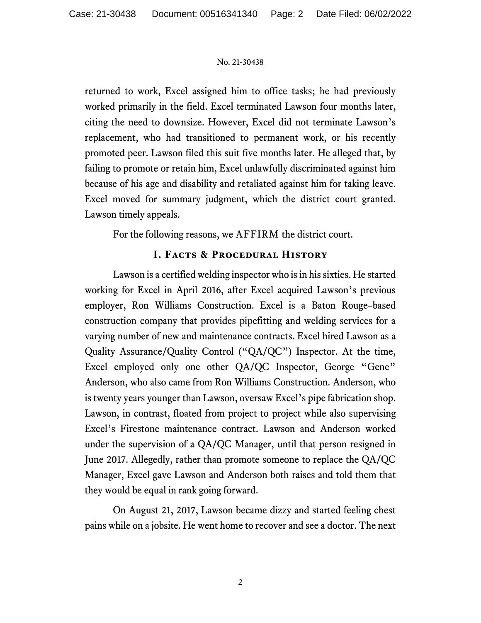returned to work, Excel assigned him to office tasks; he had previously worked primarily in the field. Excel terminated Lawson four months later, citing the need to downsize. However, Excel did not terminate Lawson's replacement, who had transitioned to permanent work, or his recently promoted peer. Lawson filed this suit five months later. He alleged that, by failing to promote or retain him, Excel unlawfully discriminated against him because of his age and disability and retaliated against him for taking leave. Excel moved for summary judgment, which the district court granted. Lawson timely appeals.

For the following reasons, we AFFIRM the district court.

# **I. Facts & Procedural History**

Lawson is a certified welding inspector who is in his sixties. He started working for Excel in April 2016, after Excel acquired Lawson's previous employer, Ron Williams Construction. Excel is a Baton Rouge–based construction company that provides pipefitting and welding services for a varying number of new and maintenance contracts. Excel hired Lawson as a Quality Assurance/Quality Control ("QA/QC") Inspector. At the time, Excel employed only one other QA/QC Inspector, George "Gene" Anderson, who also came from Ron Williams Construction. Anderson, who is twenty years younger than Lawson, oversaw Excel's pipe fabrication shop. Lawson, in contrast, floated from project to project while also supervising Excel's Firestone maintenance contract. Lawson and Anderson worked under the supervision of a QA/QC Manager, until that person resigned in June 2017. Allegedly, rather than promote someone to replace the QA/QC Manager, Excel gave Lawson and Anderson both raises and told them that they would be equal in rank going forward.

On August 21, 2017, Lawson became dizzy and started feeling chest pains while on a jobsite. He went home to recover and see a doctor. The next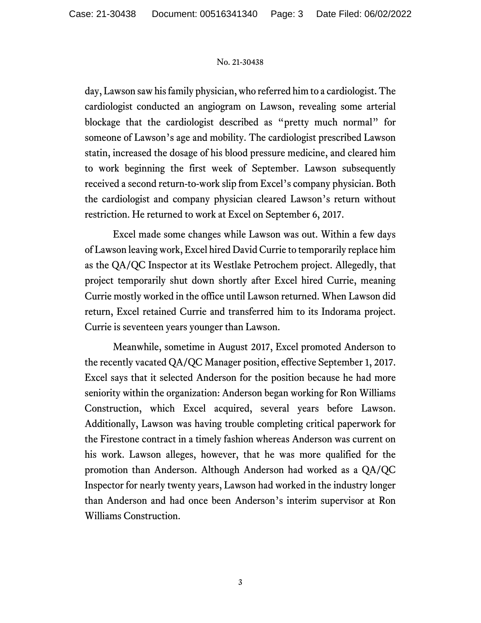day, Lawson saw his family physician, who referred him to a cardiologist. The cardiologist conducted an angiogram on Lawson, revealing some arterial blockage that the cardiologist described as "pretty much normal" for someone of Lawson's age and mobility. The cardiologist prescribed Lawson statin, increased the dosage of his blood pressure medicine, and cleared him to work beginning the first week of September. Lawson subsequently received a second return-to-work slip from Excel's company physician. Both the cardiologist and company physician cleared Lawson's return without restriction. He returned to work at Excel on September 6, 2017.

Excel made some changes while Lawson was out. Within a few days of Lawson leaving work, Excel hired David Currie to temporarily replace him as the QA/QC Inspector at its Westlake Petrochem project. Allegedly, that project temporarily shut down shortly after Excel hired Currie, meaning Currie mostly worked in the office until Lawson returned. When Lawson did return, Excel retained Currie and transferred him to its Indorama project. Currie is seventeen years younger than Lawson.

Meanwhile, sometime in August 2017, Excel promoted Anderson to the recently vacated QA/QC Manager position, effective September 1, 2017. Excel says that it selected Anderson for the position because he had more seniority within the organization: Anderson began working for Ron Williams Construction, which Excel acquired, several years before Lawson. Additionally, Lawson was having trouble completing critical paperwork for the Firestone contract in a timely fashion whereas Anderson was current on his work. Lawson alleges, however, that he was more qualified for the promotion than Anderson. Although Anderson had worked as a QA/QC Inspector for nearly twenty years, Lawson had worked in the industry longer than Anderson and had once been Anderson's interim supervisor at Ron Williams Construction.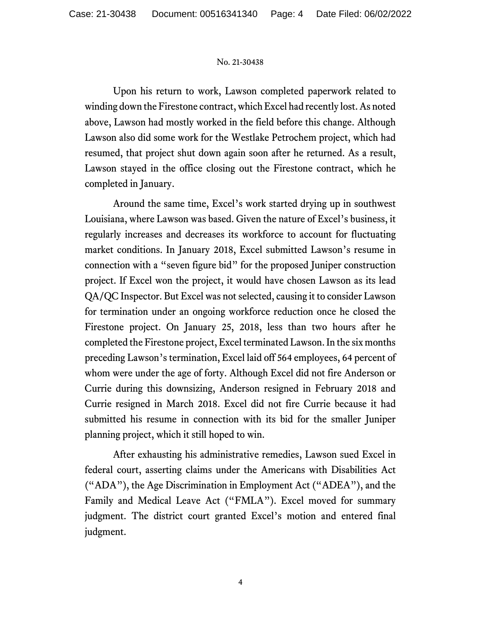Upon his return to work, Lawson completed paperwork related to winding down the Firestone contract, which Excel had recently lost. As noted above, Lawson had mostly worked in the field before this change. Although Lawson also did some work for the Westlake Petrochem project, which had resumed, that project shut down again soon after he returned. As a result, Lawson stayed in the office closing out the Firestone contract, which he completed in January.

Around the same time, Excel's work started drying up in southwest Louisiana, where Lawson was based. Given the nature of Excel's business, it regularly increases and decreases its workforce to account for fluctuating market conditions. In January 2018, Excel submitted Lawson's resume in connection with a "seven figure bid" for the proposed Juniper construction project. If Excel won the project, it would have chosen Lawson as its lead QA/QC Inspector. But Excel was not selected, causing it to consider Lawson for termination under an ongoing workforce reduction once he closed the Firestone project. On January 25, 2018, less than two hours after he completed the Firestone project, Excel terminated Lawson. In the six months preceding Lawson's termination, Excel laid off 564 employees, 64 percent of whom were under the age of forty. Although Excel did not fire Anderson or Currie during this downsizing, Anderson resigned in February 2018 and Currie resigned in March 2018. Excel did not fire Currie because it had submitted his resume in connection with its bid for the smaller Juniper planning project, which it still hoped to win.

After exhausting his administrative remedies, Lawson sued Excel in federal court, asserting claims under the Americans with Disabilities Act ("ADA"), the Age Discrimination in Employment Act ("ADEA"), and the Family and Medical Leave Act ("FMLA"). Excel moved for summary judgment. The district court granted Excel's motion and entered final judgment.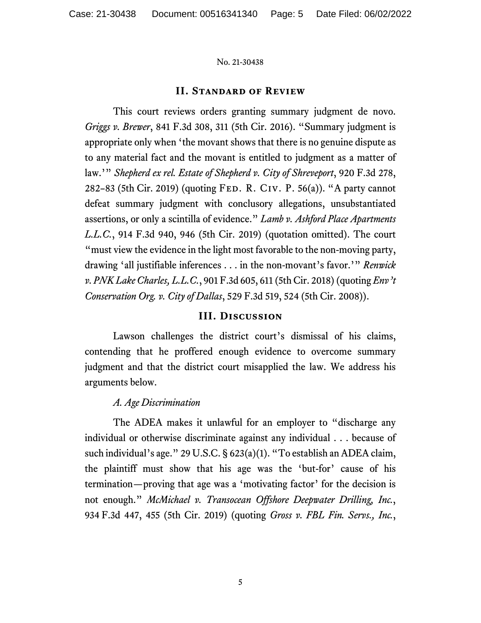# **II. Standard of Review**

This court reviews orders granting summary judgment de novo. *Griggs v. Brewer*, 841 F.3d 308, 311 (5th Cir. 2016). "Summary judgment is appropriate only when 'the movant shows that there is no genuine dispute as to any material fact and the movant is entitled to judgment as a matter of law.'" *Shepherd ex rel. Estate of Shepherd v. City of Shreveport*, 920 F.3d 278, 282–83 (5th Cir. 2019) (quoting Fed. R. Civ. P. 56(a)). "A party cannot defeat summary judgment with conclusory allegations, unsubstantiated assertions, or only a scintilla of evidence." *Lamb v. Ashford Place Apartments L.L.C.*, 914 F.3d 940, 946 (5th Cir. 2019) (quotation omitted). The court "must view the evidence in the light most favorable to the non-moving party, drawing 'all justifiable inferences . . . in the non-movant's favor.'" *Renwick v. PNK Lake Charles, L.L.C.*, 901 F.3d 605, 611 (5th Cir. 2018) (quoting *Env't Conservation Org. v. City of Dallas*, 529 F.3d 519, 524 (5th Cir. 2008)).

# **III. Discussion**

Lawson challenges the district court's dismissal of his claims, contending that he proffered enough evidence to overcome summary judgment and that the district court misapplied the law. We address his arguments below.

# *A. Age Discrimination*

The ADEA makes it unlawful for an employer to "discharge any individual or otherwise discriminate against any individual . . . because of such individual's age." 29 U.S.C. § 623(a)(1). "To establish an ADEA claim, the plaintiff must show that his age was the 'but-for' cause of his termination—proving that age was a 'motivating factor' for the decision is not enough." *McMichael v. Transocean Offshore Deepwater Drilling, Inc.*, 934 F.3d 447, 455 (5th Cir. 2019) (quoting *Gross v. FBL Fin. Servs., Inc.*,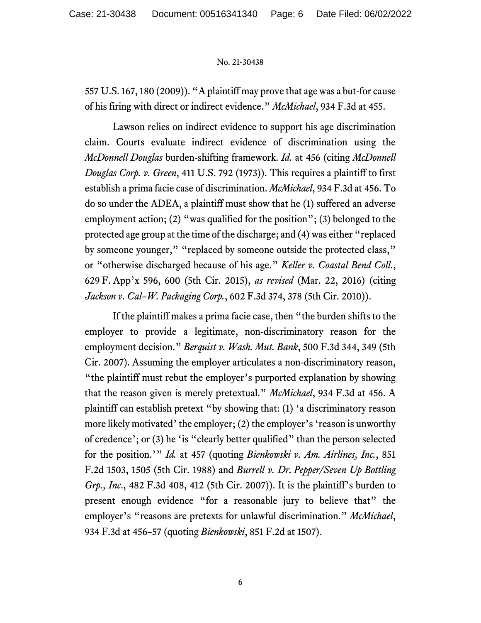557 U.S. 167, 180 (2009)). "A plaintiff may prove that age was a but-for cause of his firing with direct or indirect evidence." *McMichael*, 934 F.3d at 455.

Lawson relies on indirect evidence to support his age discrimination claim. Courts evaluate indirect evidence of discrimination using the *McDonnell Douglas* burden-shifting framework. *Id.* at 456 (citing *McDonnell Douglas Corp. v. Green*, 411 U.S. 792 (1973)). This requires a plaintiff to first establish a prima facie case of discrimination. *McMichael*, 934 F.3d at 456. To do so under the ADEA, a plaintiff must show that he (1) suffered an adverse employment action; (2) "was qualified for the position"; (3) belonged to the protected age group at the time of the discharge; and (4) was either "replaced by someone younger," "replaced by someone outside the protected class," or "otherwise discharged because of his age." *Keller v. Coastal Bend Coll.*, 629 F. App'x 596, 600 (5th Cir. 2015), *as revised* (Mar. 22, 2016) (citing *Jackson v. Cal–W. Packaging Corp.*, 602 F.3d 374, 378 (5th Cir. 2010)).

If the plaintiff makes a prima facie case, then "the burden shifts to the employer to provide a legitimate, non-discriminatory reason for the employment decision." *Berquist v. Wash. Mut. Bank*, 500 F.3d 344, 349 (5th Cir. 2007). Assuming the employer articulates a non-discriminatory reason, "the plaintiff must rebut the employer's purported explanation by showing that the reason given is merely pretextual." *McMichael*, 934 F.3d at 456. A plaintiff can establish pretext "by showing that: (1) 'a discriminatory reason more likely motivated' the employer; (2) the employer's 'reason is unworthy of credence'; or (3) he 'is "clearly better qualified" than the person selected for the position.'" *Id.* at 457 (quoting *Bienkowski v. Am. Airlines, Inc.*, 851 F.2d 1503, 1505 (5th Cir. 1988) and *Burrell v. Dr. Pepper/Seven Up Bottling Grp., Inc*., 482 F.3d 408, 412 (5th Cir. 2007)). It is the plaintiff's burden to present enough evidence "for a reasonable jury to believe that" the employer's "reasons are pretexts for unlawful discrimination." *McMichael*, 934 F.3d at 456–57 (quoting *Bienkowski*, 851 F.2d at 1507).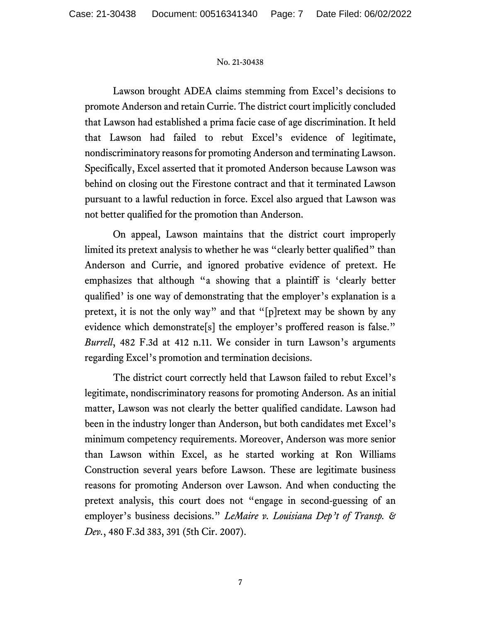Lawson brought ADEA claims stemming from Excel's decisions to promote Anderson and retain Currie. The district court implicitly concluded that Lawson had established a prima facie case of age discrimination. It held that Lawson had failed to rebut Excel's evidence of legitimate, nondiscriminatory reasons for promoting Anderson and terminating Lawson. Specifically, Excel asserted that it promoted Anderson because Lawson was behind on closing out the Firestone contract and that it terminated Lawson pursuant to a lawful reduction in force. Excel also argued that Lawson was not better qualified for the promotion than Anderson.

On appeal, Lawson maintains that the district court improperly limited its pretext analysis to whether he was "clearly better qualified" than Anderson and Currie, and ignored probative evidence of pretext. He emphasizes that although "a showing that a plaintiff is 'clearly better qualified' is one way of demonstrating that the employer's explanation is a pretext, it is not the only way" and that "[p]retext may be shown by any evidence which demonstrate[s] the employer's proffered reason is false." *Burrell*, 482 F.3d at 412 n.11. We consider in turn Lawson's arguments regarding Excel's promotion and termination decisions.

The district court correctly held that Lawson failed to rebut Excel's legitimate, nondiscriminatory reasons for promoting Anderson. As an initial matter, Lawson was not clearly the better qualified candidate. Lawson had been in the industry longer than Anderson, but both candidates met Excel's minimum competency requirements. Moreover, Anderson was more senior than Lawson within Excel, as he started working at Ron Williams Construction several years before Lawson. These are legitimate business reasons for promoting Anderson over Lawson. And when conducting the pretext analysis, this court does not "engage in second-guessing of an employer's business decisions." *LeMaire v. Louisiana Dep't of Transp. & Dev.*, 480 F.3d 383, 391 (5th Cir. 2007).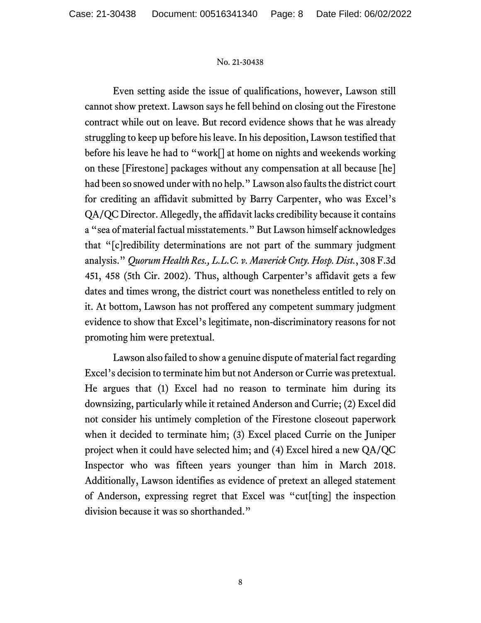Even setting aside the issue of qualifications, however, Lawson still cannot show pretext. Lawson says he fell behind on closing out the Firestone contract while out on leave. But record evidence shows that he was already struggling to keep up before his leave. In his deposition, Lawson testified that before his leave he had to "work[] at home on nights and weekends working on these [Firestone] packages without any compensation at all because [he] had been so snowed under with no help." Lawson also faults the district court for crediting an affidavit submitted by Barry Carpenter, who was Excel's QA/QC Director. Allegedly, the affidavit lacks credibility because it contains a "sea of material factual misstatements." But Lawson himself acknowledges that "[c]redibility determinations are not part of the summary judgment analysis." *Quorum Health Res., L.L.C. v. Maverick Cnty. Hosp. Dist.*, 308 F.3d 451, 458 (5th Cir. 2002). Thus, although Carpenter's affidavit gets a few dates and times wrong, the district court was nonetheless entitled to rely on it. At bottom, Lawson has not proffered any competent summary judgment evidence to show that Excel's legitimate, non-discriminatory reasons for not promoting him were pretextual.

Lawson also failed to show a genuine dispute of material fact regarding Excel's decision to terminate him but not Anderson or Currie was pretextual. He argues that (1) Excel had no reason to terminate him during its downsizing, particularly while it retained Anderson and Currie; (2) Excel did not consider his untimely completion of the Firestone closeout paperwork when it decided to terminate him; (3) Excel placed Currie on the Juniper project when it could have selected him; and (4) Excel hired a new QA/QC Inspector who was fifteen years younger than him in March 2018. Additionally, Lawson identifies as evidence of pretext an alleged statement of Anderson, expressing regret that Excel was "cut[ting] the inspection division because it was so shorthanded."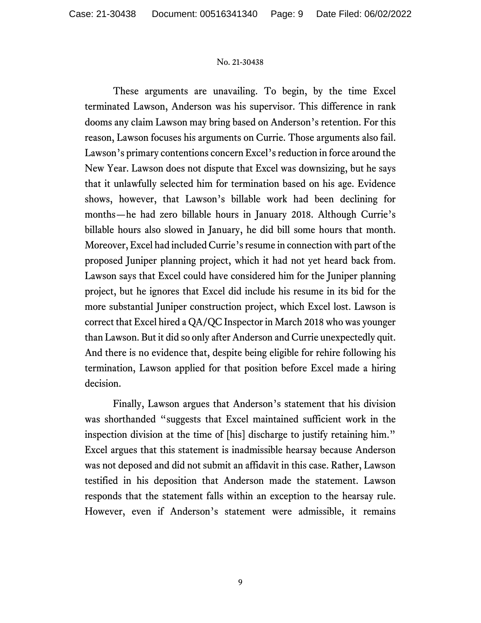These arguments are unavailing. To begin, by the time Excel terminated Lawson, Anderson was his supervisor. This difference in rank dooms any claim Lawson may bring based on Anderson's retention. For this reason, Lawson focuses his arguments on Currie. Those arguments also fail. Lawson's primary contentions concern Excel's reduction in force around the New Year. Lawson does not dispute that Excel was downsizing, but he says that it unlawfully selected him for termination based on his age. Evidence shows, however, that Lawson's billable work had been declining for months—he had zero billable hours in January 2018. Although Currie's billable hours also slowed in January, he did bill some hours that month. Moreover, Excel had included Currie'sresume in connection with part of the proposed Juniper planning project, which it had not yet heard back from. Lawson says that Excel could have considered him for the Juniper planning project, but he ignores that Excel did include his resume in its bid for the more substantial Juniper construction project, which Excel lost. Lawson is correct that Excel hired a QA/QC Inspector in March 2018 who was younger than Lawson. But it did so only after Anderson and Currie unexpectedly quit. And there is no evidence that, despite being eligible for rehire following his termination, Lawson applied for that position before Excel made a hiring decision.

Finally, Lawson argues that Anderson's statement that his division was shorthanded "suggests that Excel maintained sufficient work in the inspection division at the time of [his] discharge to justify retaining him." Excel argues that this statement is inadmissible hearsay because Anderson was not deposed and did not submit an affidavit in this case. Rather, Lawson testified in his deposition that Anderson made the statement. Lawson responds that the statement falls within an exception to the hearsay rule. However, even if Anderson's statement were admissible, it remains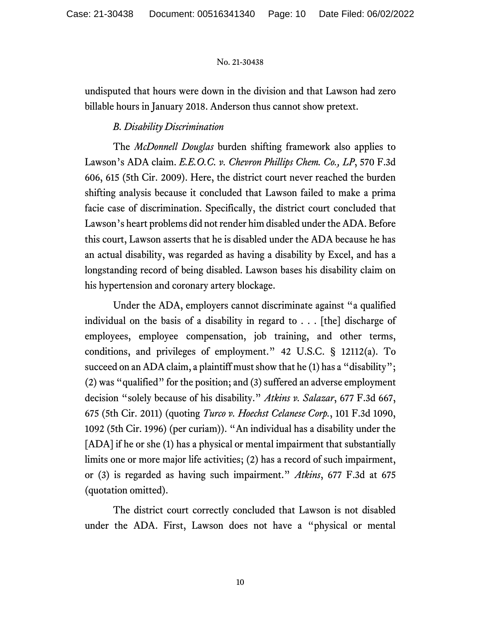undisputed that hours were down in the division and that Lawson had zero billable hours in January 2018. Anderson thus cannot show pretext.

# *B. Disability Discrimination*

The *McDonnell Douglas* burden shifting framework also applies to Lawson's ADA claim. *E.E.O.C. v. Chevron Phillips Chem. Co., LP*, 570 F.3d 606, 615 (5th Cir. 2009). Here, the district court never reached the burden shifting analysis because it concluded that Lawson failed to make a prima facie case of discrimination. Specifically, the district court concluded that Lawson's heart problems did not render him disabled under the ADA. Before this court, Lawson asserts that he is disabled under the ADA because he has an actual disability, was regarded as having a disability by Excel, and has a longstanding record of being disabled. Lawson bases his disability claim on his hypertension and coronary artery blockage.

Under the ADA, employers cannot discriminate against "a qualified individual on the basis of a disability in regard to . . . [the] discharge of employees, employee compensation, job training, and other terms, conditions, and privileges of employment." 42 U.S.C. § 12112(a). To succeed on an ADA claim, a plaintiff must show that he (1) has a "disability"; (2) was "qualified" for the position; and (3) suffered an adverse employment decision "solely because of his disability." *Atkins v. Salazar*, 677 F.3d 667, 675 (5th Cir. 2011) (quoting *Turco v. Hoechst Celanese Corp.*, 101 F.3d 1090, 1092 (5th Cir. 1996) (per curiam)). "An individual has a disability under the [ADA] if he or she (1) has a physical or mental impairment that substantially limits one or more major life activities; (2) has a record of such impairment, or (3) is regarded as having such impairment." *Atkins*, 677 F.3d at 675 (quotation omitted).

The district court correctly concluded that Lawson is not disabled under the ADA. First, Lawson does not have a "physical or mental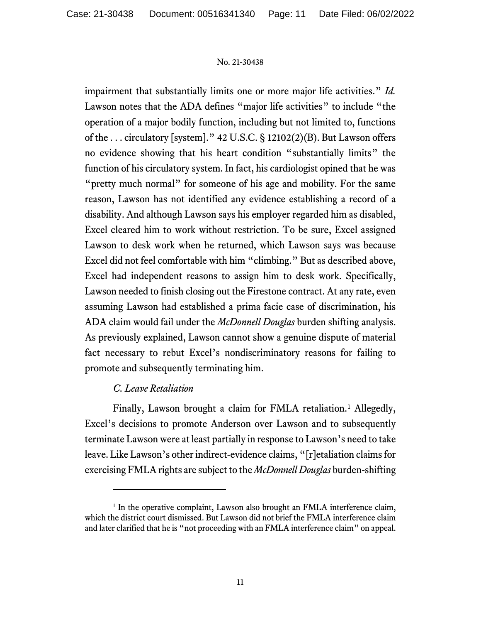impairment that substantially limits one or more major life activities." *Id.* Lawson notes that the ADA defines "major life activities" to include "the operation of a major bodily function, including but not limited to, functions of the . . . circulatory [system]." 42 U.S.C. § 12102(2)(B). But Lawson offers no evidence showing that his heart condition "substantially limits" the function of his circulatory system. In fact, his cardiologist opined that he was "pretty much normal" for someone of his age and mobility. For the same reason, Lawson has not identified any evidence establishing a record of a disability. And although Lawson says his employer regarded him as disabled, Excel cleared him to work without restriction. To be sure, Excel assigned Lawson to desk work when he returned, which Lawson says was because Excel did not feel comfortable with him "climbing." But as described above, Excel had independent reasons to assign him to desk work. Specifically, Lawson needed to finish closing out the Firestone contract. At any rate, even assuming Lawson had established a prima facie case of discrimination, his ADA claim would fail under the *McDonnell Douglas* burden shifting analysis. As previously explained, Lawson cannot show a genuine dispute of material fact necessary to rebut Excel's nondiscriminatory reasons for failing to promote and subsequently terminating him.

# *C. Leave Retaliation*

Finally, Lawson brought a claim for FMLA retaliation.<sup>[1](#page-10-0)</sup> Allegedly, Excel's decisions to promote Anderson over Lawson and to subsequently terminate Lawson were at least partially in response to Lawson's need to take leave. Like Lawson's other indirect-evidence claims, "[r]etaliation claims for exercising FMLA rights are subject to the *McDonnell Douglas* burden-shifting

<span id="page-10-0"></span><sup>&</sup>lt;sup>1</sup> In the operative complaint, Lawson also brought an FMLA interference claim, which the district court dismissed. But Lawson did not brief the FMLA interference claim and later clarified that he is "not proceeding with an FMLA interference claim" on appeal.